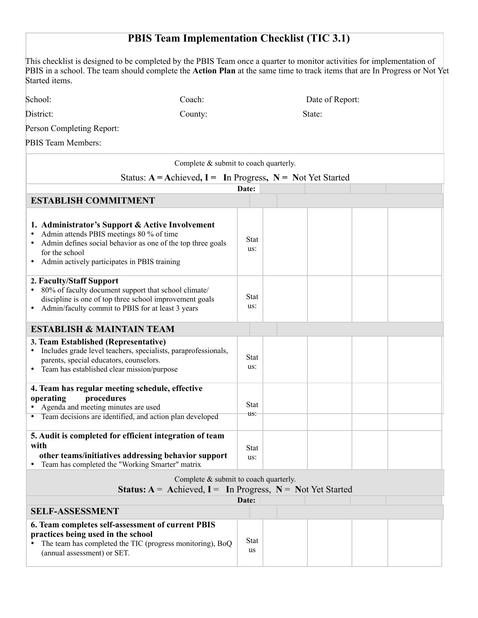## **PBIS Team Implementation Checklist (TIC 3.1)**

This checklist is designed to be completed by the PBIS Team once a quarter to monitor activities for implementation of PBIS in a school. The team should complete the **Action Plan** at the same time to track items that are In Progress or Not Yet Started items.

District: County: County: State:

Person Completing Report:

PBIS Team Members:

| Complete & submit to coach quarterly.                                                                                                                                                                                               |                    |  |  |
|-------------------------------------------------------------------------------------------------------------------------------------------------------------------------------------------------------------------------------------|--------------------|--|--|
| Status: $A =$ Achieved, $I =$ In Progress, $N =$ Not Yet Started                                                                                                                                                                    |                    |  |  |
|                                                                                                                                                                                                                                     | Date:              |  |  |
| <b>ESTABLISH COMMITMENT</b>                                                                                                                                                                                                         |                    |  |  |
| 1. Administrator's Support & Active Involvement<br>Admin attends PBIS meetings 80 % of time<br>• Admin defines social behavior as one of the top three goals<br>for the school<br>Admin actively participates in PBIS training<br>٠ | <b>Stat</b><br>us: |  |  |
| 2. Faculty/Staff Support<br>80% of faculty document support that school climate/<br>discipline is one of top three school improvement goals<br>• Admin/faculty commit to PBIS for at least 3 years                                  | Stat<br>us:        |  |  |
| <b>ESTABLISH &amp; MAINTAIN TEAM</b>                                                                                                                                                                                                |                    |  |  |
| 3. Team Established (Representative)<br>• Includes grade level teachers, specialists, paraprofessionals,<br>parents, special educators, counselors.<br>• Team has established clear mission/purpose                                 | Stat<br>us:        |  |  |
| 4. Team has regular meeting schedule, effective<br>procedures<br>operating<br>• Agenda and meeting minutes are used<br>• Team decisions are identified, and action plan developed                                                   | <b>Stat</b><br>us: |  |  |
| 5. Audit is completed for efficient integration of team<br>with<br>other teams/initiatives addressing behavior support<br>• Team has completed the "Working Smarter" matrix                                                         | <b>Stat</b><br>us: |  |  |
| Complete & submit to coach quarterly.<br><b>Status:</b> $A =$ Achieved, $I =$ In Progress, $N =$ Not Yet Started                                                                                                                    |                    |  |  |
|                                                                                                                                                                                                                                     | Date:              |  |  |
| <b>SELF-ASSESSMENT</b>                                                                                                                                                                                                              |                    |  |  |
| 6. Team completes self-assessment of current PBIS<br>practices being used in the school<br>The team has completed the TIC (progress monitoring), BoQ<br>(annual assessment) or SET.                                                 | Stat<br><b>us</b>  |  |  |

School: Coach: Coach: Date of Report: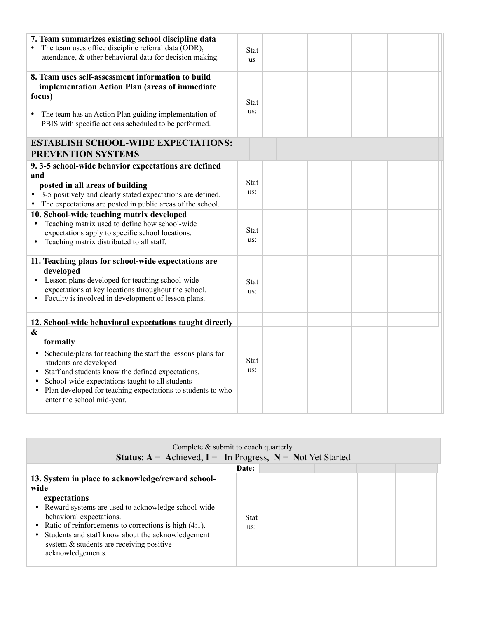| 7. Team summarizes existing school discipline data<br>The team uses office discipline referral data (ODR),<br>attendance, & other behavioral data for decision making.<br>8. Team uses self-assessment information to build<br>implementation Action Plan (areas of immediate<br>focus)<br>• The team has an Action Plan guiding implementation of<br>PBIS with specific actions scheduled to be performed.                                                                                                                                                                                                                                        | Stat<br><b>us</b><br><b>Stat</b><br>us:                 |  |  |
|----------------------------------------------------------------------------------------------------------------------------------------------------------------------------------------------------------------------------------------------------------------------------------------------------------------------------------------------------------------------------------------------------------------------------------------------------------------------------------------------------------------------------------------------------------------------------------------------------------------------------------------------------|---------------------------------------------------------|--|--|
| <b>ESTABLISH SCHOOL-WIDE EXPECTATIONS:</b>                                                                                                                                                                                                                                                                                                                                                                                                                                                                                                                                                                                                         |                                                         |  |  |
| <b>PREVENTION SYSTEMS</b>                                                                                                                                                                                                                                                                                                                                                                                                                                                                                                                                                                                                                          |                                                         |  |  |
| 9.3-5 school-wide behavior expectations are defined<br>and<br>posted in all areas of building<br>• 3-5 positively and clearly stated expectations are defined.<br>The expectations are posted in public areas of the school.<br>10. School-wide teaching matrix developed<br>Teaching matrix used to define how school-wide<br>$\bullet$<br>expectations apply to specific school locations.<br>Teaching matrix distributed to all staff.<br>$\bullet$<br>11. Teaching plans for school-wide expectations are<br>developed<br>Lesson plans developed for teaching school-wide<br>$\bullet$<br>expectations at key locations throughout the school. | <b>Stat</b><br>us:<br><b>Stat</b><br>us:<br><b>Stat</b> |  |  |
| Faculty is involved in development of lesson plans.<br>12. School-wide behavioral expectations taught directly                                                                                                                                                                                                                                                                                                                                                                                                                                                                                                                                     | us:                                                     |  |  |
| $\boldsymbol{\&}$                                                                                                                                                                                                                                                                                                                                                                                                                                                                                                                                                                                                                                  |                                                         |  |  |
| formally<br>Schedule/plans for teaching the staff the lessons plans for<br>$\bullet$<br>students are developed<br>Staff and students know the defined expectations.<br>$\bullet$<br>School-wide expectations taught to all students<br>Plan developed for teaching expectations to students to who<br>$\bullet$<br>enter the school mid-year.                                                                                                                                                                                                                                                                                                      | Stat<br>us:                                             |  |  |

|                                                                                                                                                                                                                                                                                                                                                     | Complete $\&$ submit to coach quarterly.<br><b>Status:</b> $A =$ Achieved, $I =$ In Progress, $N =$ Not Yet Started |  |
|-----------------------------------------------------------------------------------------------------------------------------------------------------------------------------------------------------------------------------------------------------------------------------------------------------------------------------------------------------|---------------------------------------------------------------------------------------------------------------------|--|
|                                                                                                                                                                                                                                                                                                                                                     | Date:                                                                                                               |  |
| 13. System in place to acknowledge/reward school-<br>wide<br>expectations<br>• Reward systems are used to acknowledge school-wide<br>behavioral expectations.<br>• Ratio of reinforcements to corrections is high $(4:1)$ .<br>• Students and staff know about the acknowledgement<br>system & students are receiving positive<br>acknowledgements. | Stat<br>us:                                                                                                         |  |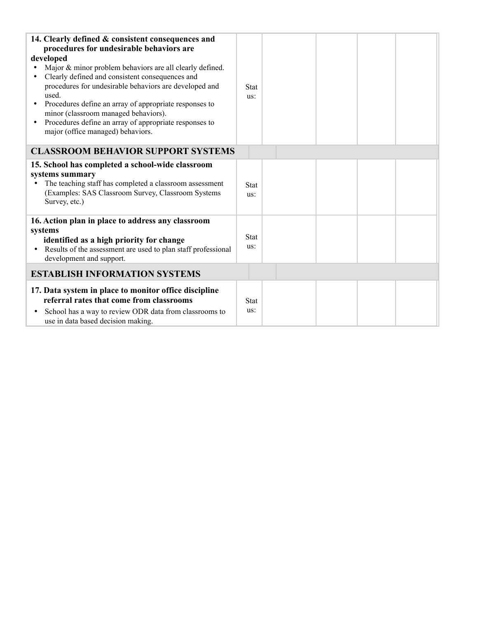| 14. Clearly defined & consistent consequences and<br>procedures for undesirable behaviors are<br>developed<br>Major & minor problem behaviors are all clearly defined.<br>Clearly defined and consistent consequences and<br>procedures for undesirable behaviors are developed and<br>used.<br>Procedures define an array of appropriate responses to<br>minor (classroom managed behaviors).<br>Procedures define an array of appropriate responses to<br>$\bullet$<br>major (office managed) behaviors. | <b>Stat</b><br>us: |  |  |
|------------------------------------------------------------------------------------------------------------------------------------------------------------------------------------------------------------------------------------------------------------------------------------------------------------------------------------------------------------------------------------------------------------------------------------------------------------------------------------------------------------|--------------------|--|--|
| <b>CLASSROOM BEHAVIOR SUPPORT SYSTEMS</b>                                                                                                                                                                                                                                                                                                                                                                                                                                                                  |                    |  |  |
| 15. School has completed a school-wide classroom<br>systems summary<br>The teaching staff has completed a classroom assessment<br>(Examples: SAS Classroom Survey, Classroom Systems<br>Survey, etc.)                                                                                                                                                                                                                                                                                                      | <b>Stat</b><br>us: |  |  |
| 16. Action plan in place to address any classroom<br>systems<br>identified as a high priority for change<br>Results of the assessment are used to plan staff professional<br>$\bullet$<br>development and support.                                                                                                                                                                                                                                                                                         | <b>Stat</b><br>us: |  |  |
| <b>ESTABLISH INFORMATION SYSTEMS</b>                                                                                                                                                                                                                                                                                                                                                                                                                                                                       |                    |  |  |
| 17. Data system in place to monitor office discipline<br>referral rates that come from classrooms<br>School has a way to review ODR data from classrooms to<br>٠<br>use in data based decision making.                                                                                                                                                                                                                                                                                                     | <b>Stat</b><br>us: |  |  |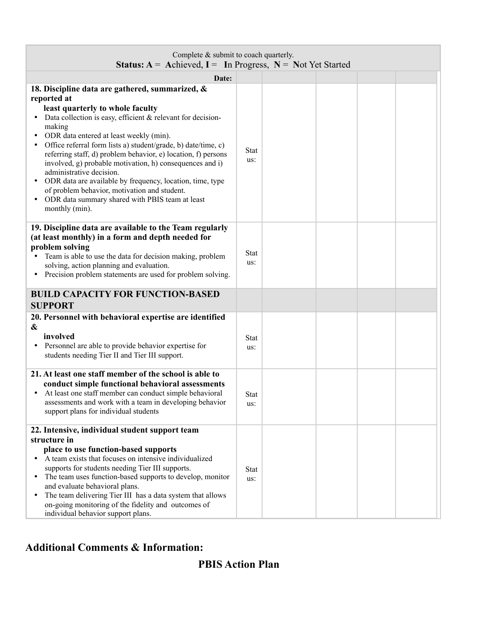| Complete & submit to coach quarterly.<br><b>Status:</b> $A =$ Achieved, $I =$ In Progress, $N =$ Not Yet Started                                                                                                                                                                                                                                                                                                                                                                                                                                                                                                                                   |                    |  |  |  |
|----------------------------------------------------------------------------------------------------------------------------------------------------------------------------------------------------------------------------------------------------------------------------------------------------------------------------------------------------------------------------------------------------------------------------------------------------------------------------------------------------------------------------------------------------------------------------------------------------------------------------------------------------|--------------------|--|--|--|
| Date:                                                                                                                                                                                                                                                                                                                                                                                                                                                                                                                                                                                                                                              |                    |  |  |  |
| 18. Discipline data are gathered, summarized, &<br>reported at<br>least quarterly to whole faculty<br>Data collection is easy, efficient $\&$ relevant for decision-<br>making<br>ODR data entered at least weekly (min).<br>Office referral form lists a) student/grade, b) date/time, c)<br>referring staff, d) problem behavior, e) location, f) persons<br>involved, g) probable motivation, h) consequences and i)<br>administrative decision.<br>ODR data are available by frequency, location, time, type<br>$\bullet$<br>of problem behavior, motivation and student.<br>ODR data summary shared with PBIS team at least<br>monthly (min). | <b>Stat</b><br>us: |  |  |  |
| 19. Discipline data are available to the Team regularly<br>(at least monthly) in a form and depth needed for<br>problem solving<br>Team is able to use the data for decision making, problem<br>solving, action planning and evaluation.<br>Precision problem statements are used for problem solving.                                                                                                                                                                                                                                                                                                                                             | <b>Stat</b><br>us: |  |  |  |
| <b>BUILD CAPACITY FOR FUNCTION-BASED</b><br><b>SUPPORT</b>                                                                                                                                                                                                                                                                                                                                                                                                                                                                                                                                                                                         |                    |  |  |  |
| 20. Personnel with behavioral expertise are identified<br>&<br>involved<br>Personnel are able to provide behavior expertise for<br>$\bullet$<br>students needing Tier II and Tier III support.                                                                                                                                                                                                                                                                                                                                                                                                                                                     | <b>Stat</b><br>us: |  |  |  |
| 21. At least one staff member of the school is able to<br>conduct simple functional behavioral assessments<br>• At least one staff member can conduct simple behavioral<br>assessments and work with a team in developing behavior<br>support plans for individual students                                                                                                                                                                                                                                                                                                                                                                        | <b>Stat</b><br>us: |  |  |  |
| 22. Intensive, individual student support team<br>structure in<br>place to use function-based supports<br>A team exists that focuses on intensive individualized<br>$\bullet$<br>supports for students needing Tier III supports.<br>The team uses function-based supports to develop, monitor<br>$\bullet$<br>and evaluate behavioral plans.<br>The team delivering Tier III has a data system that allows<br>$\bullet$<br>on-going monitoring of the fidelity and outcomes of<br>individual behavior support plans.                                                                                                                              | <b>Stat</b><br>us: |  |  |  |

## **Additional Comments & Information:**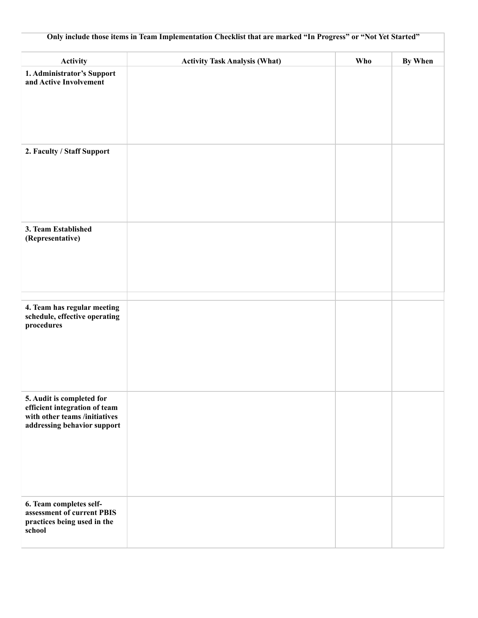| Only include those items in Team Implementation Checklist that are marked "In Progress" or "Not Yet Started"               |                                      |     |         |  |
|----------------------------------------------------------------------------------------------------------------------------|--------------------------------------|-----|---------|--|
| <b>Activity</b>                                                                                                            | <b>Activity Task Analysis (What)</b> | Who | By When |  |
| 1. Administrator's Support<br>and Active Involvement                                                                       |                                      |     |         |  |
| 2. Faculty / Staff Support                                                                                                 |                                      |     |         |  |
| 3. Team Established<br>(Representative)                                                                                    |                                      |     |         |  |
| 4. Team has regular meeting<br>schedule, effective operating<br>procedures                                                 |                                      |     |         |  |
| 5. Audit is completed for<br>efficient integration of team<br>with other teams /initiatives<br>addressing behavior support |                                      |     |         |  |
| 6. Team completes self-<br>assessment of current PBIS<br>practices being used in the<br>school                             |                                      |     |         |  |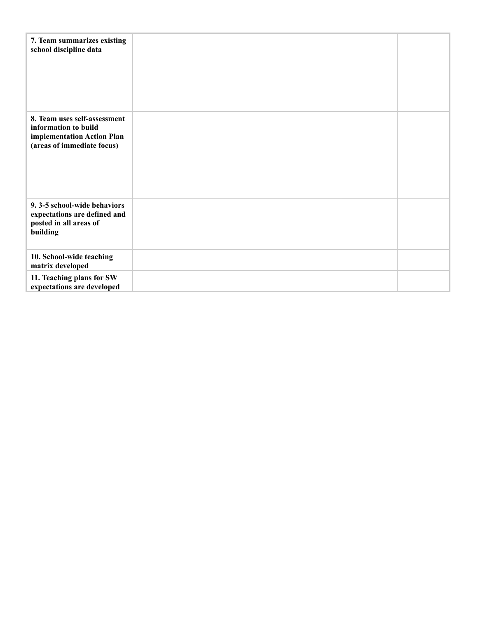| 7. Team summarizes existing<br>school discipline data                                                            |  |  |
|------------------------------------------------------------------------------------------------------------------|--|--|
| 8. Team uses self-assessment<br>information to build<br>implementation Action Plan<br>(areas of immediate focus) |  |  |
| 9.3-5 school-wide behaviors<br>expectations are defined and<br>posted in all areas of<br>building                |  |  |
| 10. School-wide teaching<br>matrix developed                                                                     |  |  |
| 11. Teaching plans for SW<br>expectations are developed                                                          |  |  |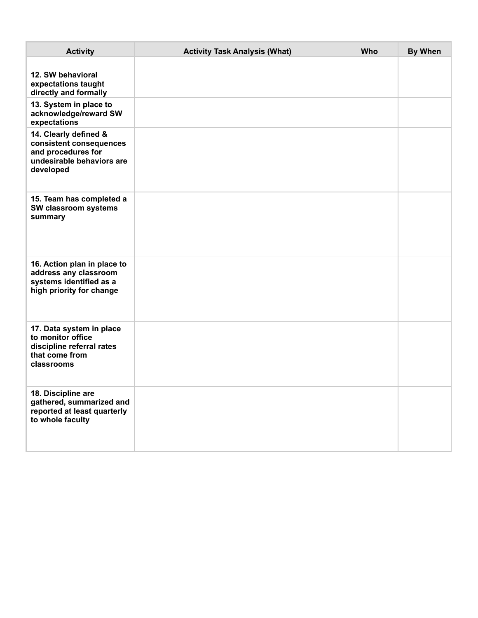| <b>Activity</b>                                                                                                  | <b>Activity Task Analysis (What)</b> | Who | <b>By When</b> |
|------------------------------------------------------------------------------------------------------------------|--------------------------------------|-----|----------------|
| 12. SW behavioral<br>expectations taught<br>directly and formally                                                |                                      |     |                |
| 13. System in place to<br>acknowledge/reward SW<br>expectations                                                  |                                      |     |                |
| 14. Clearly defined &<br>consistent consequences<br>and procedures for<br>undesirable behaviors are<br>developed |                                      |     |                |
| 15. Team has completed a<br>SW classroom systems<br>summary                                                      |                                      |     |                |
| 16. Action plan in place to<br>address any classroom<br>systems identified as a<br>high priority for change      |                                      |     |                |
| 17. Data system in place<br>to monitor office<br>discipline referral rates<br>that come from<br>classrooms       |                                      |     |                |
| 18. Discipline are<br>gathered, summarized and<br>reported at least quarterly<br>to whole faculty                |                                      |     |                |